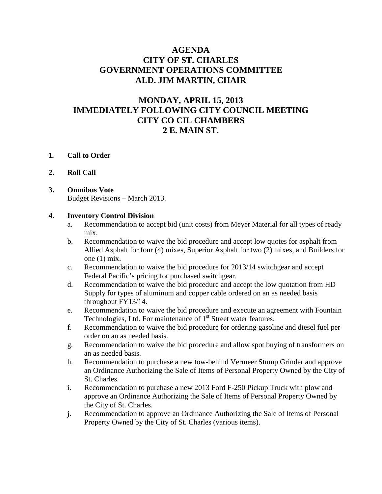## **AGENDA CITY OF ST. CHARLES GOVERNMENT OPERATIONS COMMITTEE ALD. JIM MARTIN, CHAIR**

# **MONDAY, APRIL 15, 2013 IMMEDIATELY FOLLOWING CITY COUNCIL MEETING CITY CO CIL CHAMBERS 2 E. MAIN ST.**

#### **1. Call to Order**

#### **2. Roll Call**

#### **3. Omnibus Vote** Budget Revisions – March 2013.

#### **4. Inventory Control Division**

- a. Recommendation to accept bid (unit costs) from Meyer Material for all types of ready mix.
- b. Recommendation to waive the bid procedure and accept low quotes for asphalt from Allied Asphalt for four (4) mixes, Superior Asphalt for two (2) mixes, and Builders for one (1) mix.
- c. Recommendation to waive the bid procedure for 2013/14 switchgear and accept Federal Pacific's pricing for purchased switchgear.
- d. Recommendation to waive the bid procedure and accept the low quotation from HD Supply for types of aluminum and copper cable ordered on an as needed basis throughout FY13/14.
- e. Recommendation to waive the bid procedure and execute an agreement with Fountain Technologies, Ltd. For maintenance of 1<sup>st</sup> Street water features.
- f. Recommendation to waive the bid procedure for ordering gasoline and diesel fuel per order on an as needed basis.
- g. Recommendation to waive the bid procedure and allow spot buying of transformers on an as needed basis.
- h. Recommendation to purchase a new tow-behind Vermeer Stump Grinder and approve an Ordinance Authorizing the Sale of Items of Personal Property Owned by the City of St. Charles.
- i. Recommendation to purchase a new 2013 Ford F-250 Pickup Truck with plow and approve an Ordinance Authorizing the Sale of Items of Personal Property Owned by the City of St. Charles.
- j. Recommendation to approve an Ordinance Authorizing the Sale of Items of Personal Property Owned by the City of St. Charles (various items).